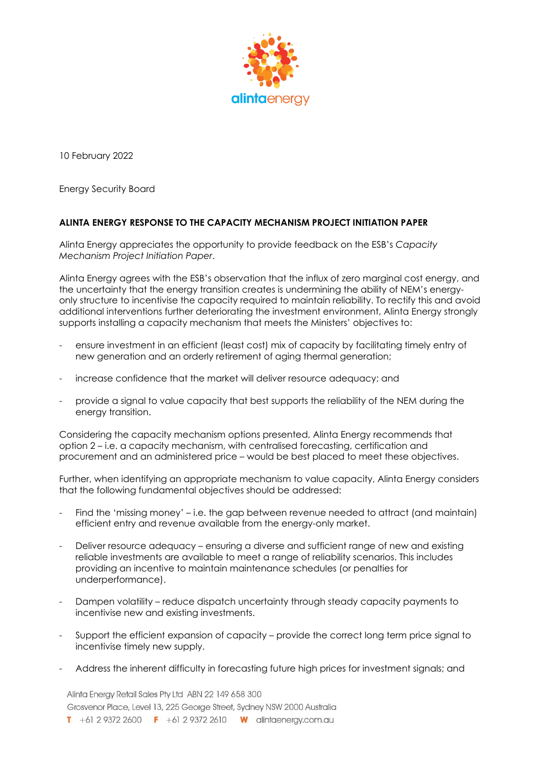

10 February 2022

Energy Security Board

## **ALINTA ENERGY RESPONSE TO THE CAPACITY MECHANISM PROJECT INITIATION PAPER**

Alinta Energy appreciates the opportunity to provide feedback on the ESB's *Capacity Mechanism Project Initiation Paper*.

Alinta Energy agrees with the ESB's observation that the influx of zero marginal cost energy, and the uncertainty that the energy transition creates is undermining the ability of NEM's energyonly structure to incentivise the capacity required to maintain reliability. To rectify this and avoid additional interventions further deteriorating the investment environment, Alinta Energy strongly supports installing a capacity mechanism that meets the Ministers' objectives to:

- ensure investment in an efficient (least cost) mix of capacity by facilitating timely entry of new generation and an orderly retirement of aging thermal generation;
- increase confidence that the market will deliver resource adequacy; and
- provide a signal to value capacity that best supports the reliability of the NEM during the energy transition.

Considering the capacity mechanism options presented, Alinta Energy recommends that option 2 – i.e. a capacity mechanism, with centralised forecasting, certification and procurement and an administered price – would be best placed to meet these objectives.

Further, when identifying an appropriate mechanism to value capacity, Alinta Energy considers that the following fundamental objectives should be addressed:

- Find the 'missing money' i.e. the gap between revenue needed to attract (and maintain) efficient entry and revenue available from the energy-only market.
- Deliver resource adequacy ensuring a diverse and sufficient range of new and existing reliable investments are available to meet a range of reliability scenarios. This includes providing an incentive to maintain maintenance schedules (or penalties for underperformance).
- Dampen volatility reduce dispatch uncertainty through steady capacity payments to incentivise new and existing investments.
- Support the efficient expansion of capacity provide the correct long term price signal to incentivise timely new supply.
- Address the inherent difficulty in forecasting future high prices for investment signals; and

Alinta Energy Retail Sales Pty Ltd ABN 22 149 658 300 Grosvenor Place, Level 13, 225 George Street, Sydney NSW 2000 Australia T +61 2 9372 2600 F +61 2 9372 2610 W alintaenergy.com.au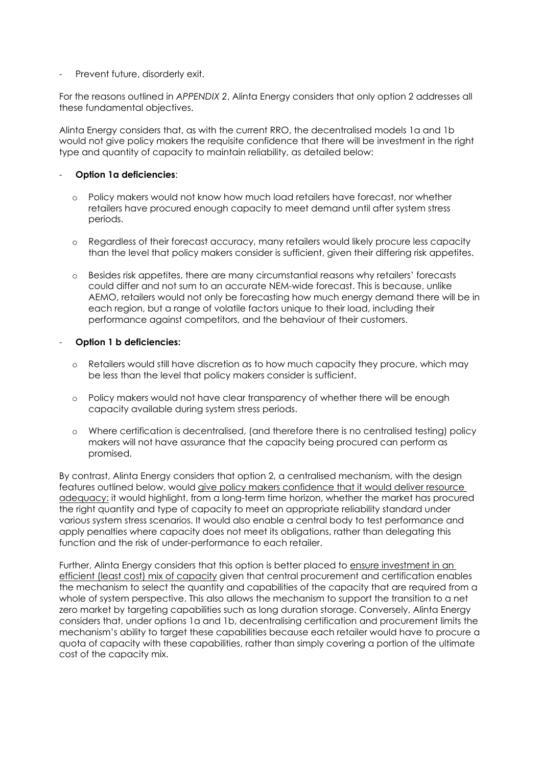- Prevent future, disorderly exit.

For the reasons outlined in *APPENDIX 2*, Alinta Energy considers that only option 2 addresses all these fundamental objectives.

Alinta Energy considers that, as with the current RRO, the decentralised models 1a and 1b would not give policy makers the requisite confidence that there will be investment in the right type and quantity of capacity to maintain reliability, as detailed below:

## - **Option 1a deficiencies**:

- o Policy makers would not know how much load retailers have forecast, nor whether retailers have procured enough capacity to meet demand until after system stress periods.
- o Regardless of their forecast accuracy, many retailers would likely procure less capacity than the level that policy makers consider is sufficient, given their differing risk appetites.
- o Besides risk appetites, there are many circumstantial reasons why retailers' forecasts could differ and not sum to an accurate NEM-wide forecast. This is because, unlike AEMO, retailers would not only be forecasting how much energy demand there will be in each region, but a range of volatile factors unique to their load, including their performance against competitors, and the behaviour of their customers.

### - **Option 1 b deficiencies:**

- o Retailers would still have discretion as to how much capacity they procure, which may be less than the level that policy makers consider is sufficient.
- o Policy makers would not have clear transparency of whether there will be enough capacity available during system stress periods.
- o Where certification is decentralised, (and therefore there is no centralised testing) policy makers will not have assurance that the capacity being procured can perform as promised.

By contrast, Alinta Energy considers that option 2, a centralised mechanism, with the design features outlined below, would give policy makers confidence that it would deliver resource adequacy: it would highlight, from a long-term time horizon, whether the market has procured the right quantity and type of capacity to meet an appropriate reliability standard under various system stress scenarios. It would also enable a central body to test performance and apply penalties where capacity does not meet its obligations, rather than delegating this function and the risk of under-performance to each retailer.

Further, Alinta Energy considers that this option is better placed to ensure investment in an efficient (least cost) mix of capacity given that central procurement and certification enables the mechanism to select the quantity and capabilities of the capacity that are required from a whole of system perspective. This also allows the mechanism to support the transition to a net zero market by targeting capabilities such as long duration storage. Conversely, Alinta Energy considers that, under options 1a and 1b, decentralising certification and procurement limits the mechanism's ability to target these capabilities because each retailer would have to procure a quota of capacity with these capabilities, rather than simply covering a portion of the ultimate cost of the capacity mix.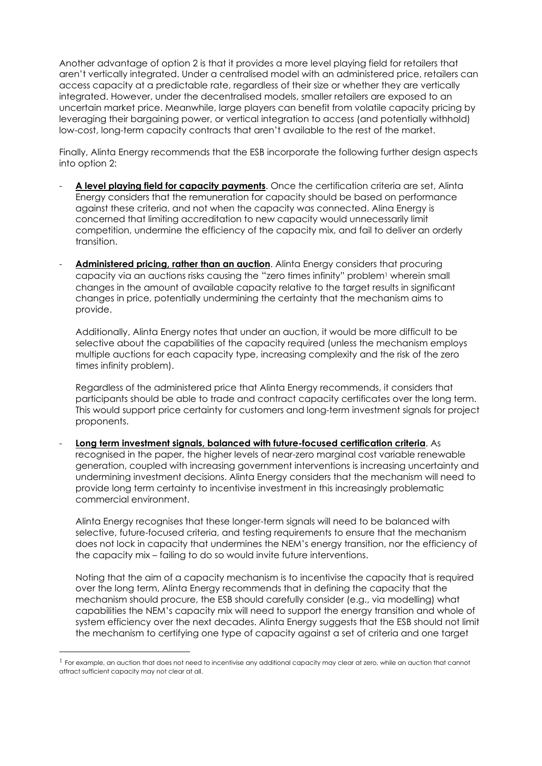Another advantage of option 2 is that it provides a more level playing field for retailers that aren't vertically integrated. Under a centralised model with an administered price, retailers can access capacity at a predictable rate, regardless of their size or whether they are vertically integrated. However, under the decentralised models, smaller retailers are exposed to an uncertain market price. Meanwhile, large players can benefit from volatile capacity pricing by leveraging their bargaining power, or vertical integration to access (and potentially withhold) low-cost, long-term capacity contracts that aren't available to the rest of the market.

Finally, Alinta Energy recommends that the ESB incorporate the following further design aspects into option 2:

- **A level playing field for capacity payments**. Once the certification criteria are set, Alinta Energy considers that the remuneration for capacity should be based on performance against these criteria, and not when the capacity was connected. Alina Energy is concerned that limiting accreditation to new capacity would unnecessarily limit competition, undermine the efficiency of the capacity mix, and fail to deliver an orderly transition.
- **Administered pricing, rather than an auction**. Alinta Energy considers that procuring capacity via an auctions risks causing the "zero times infinity" problem<sup>1</sup> wherein small changes in the amount of available capacity relative to the target results in significant changes in price, potentially undermining the certainty that the mechanism aims to provide.

Additionally, Alinta Energy notes that under an auction, it would be more difficult to be selective about the capabilities of the capacity required (unless the mechanism employs multiple auctions for each capacity type, increasing complexity and the risk of the zero times infinity problem).

Regardless of the administered price that Alinta Energy recommends, it considers that participants should be able to trade and contract capacity certificates over the long term. This would support price certainty for customers and long-term investment signals for project proponents.

- **Long term investment signals, balanced with future-focused certification criteria**. As recognised in the paper, the higher levels of near-zero marginal cost variable renewable generation, coupled with increasing government interventions is increasing uncertainty and undermining investment decisions. Alinta Energy considers that the mechanism will need to provide long term certainty to incentivise investment in this increasingly problematic commercial environment.

Alinta Energy recognises that these longer-term signals will need to be balanced with selective, future-focused criteria, and testing requirements to ensure that the mechanism does not lock in capacity that undermines the NEM's energy transition, nor the efficiency of the capacity mix – failing to do so would invite future interventions.

Noting that the aim of a capacity mechanism is to incentivise the capacity that is required over the long term, Alinta Energy recommends that in defining the capacity that the mechanism should procure, the ESB should carefully consider (e.g., via modelling) what capabilities the NEM's capacity mix will need to support the energy transition and whole of system efficiency over the next decades. Alinta Energy suggests that the ESB should not limit the mechanism to certifying one type of capacity against a set of criteria and one target

 $1$  For example, an auction that does not need to incentivise any additional capacity may clear at zero, while an auction that cannot attract sufficient capacity may not clear at all.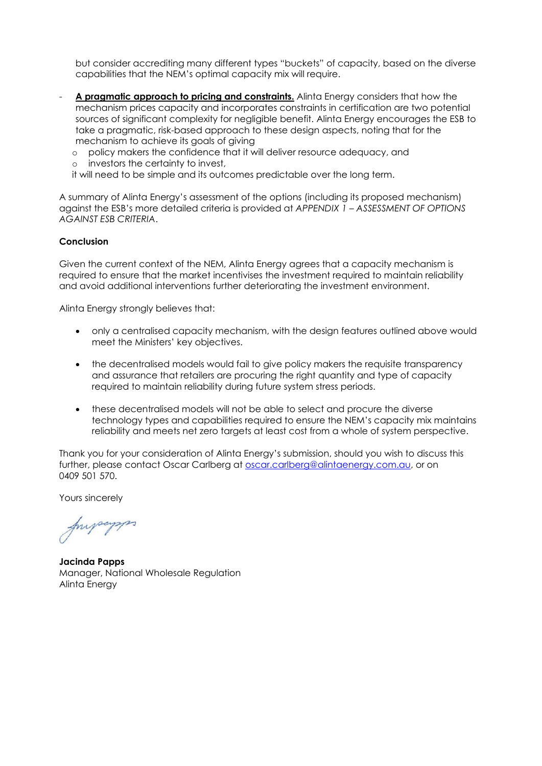but consider accrediting many different types "buckets" of capacity, based on the diverse capabilities that the NEM's optimal capacity mix will require.

- **A pragmatic approach to pricing and constraints.** Alinta Energy considers that how the mechanism prices capacity and incorporates constraints in certification are two potential sources of significant complexity for negligible benefit. Alinta Energy encourages the ESB to take a pragmatic, risk-based approach to these design aspects, noting that for the mechanism to achieve its goals of giving
	- o policy makers the confidence that it will deliver resource adequacy, and
	- o investors the certainty to invest,

it will need to be simple and its outcomes predictable over the long term.

A summary of Alinta Energy's assessment of the options (including its proposed mechanism) against the ESB's more detailed criteria is provided at *APPENDIX 1 – ASSESSMENT OF OPTIONS AGAINST ESB CRITERIA*.

#### **Conclusion**

Given the current context of the NEM, Alinta Energy agrees that a capacity mechanism is required to ensure that the market incentivises the investment required to maintain reliability and avoid additional interventions further deteriorating the investment environment.

Alinta Energy strongly believes that:

- only a centralised capacity mechanism, with the design features outlined above would meet the Ministers' key objectives.
- the decentralised models would fail to give policy makers the requisite transparency and assurance that retailers are procuring the right quantity and type of capacity required to maintain reliability during future system stress periods.
- these decentralised models will not be able to select and procure the diverse technology types and capabilities required to ensure the NEM's capacity mix maintains reliability and meets net zero targets at least cost from a whole of system perspective.

Thank you for your consideration of Alinta Energy's submission, should you wish to discuss this further, please contact Oscar Carlberg at [oscar.carlberg@alintaenergy.com.au,](mailto:oscar.carlberg@alintaenergy.com.au) or on 0409 501 570.

Yours sincerely

fundament

**Jacinda Papps** Manager, National Wholesale Regulation Alinta Energy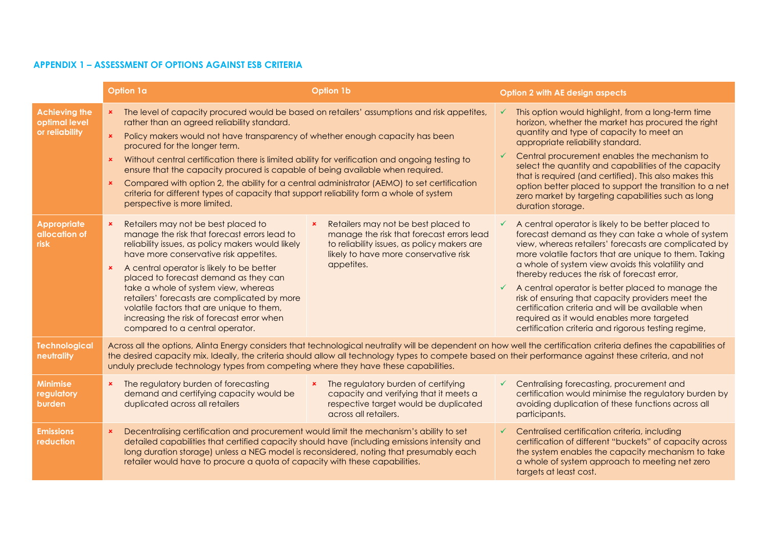## **APPENDIX 1 – ASSESSMENT OF OPTIONS AGAINST ESB CRITERIA**

|                                                         | Option 1a                                                                                                                                                                                                                                                                                                                                                                                                                                                                                                                                                                                                                                                                                                                   | <b>Option 1b</b>                                                                                                                                                                                         |                   | <b>Option 2 with AE design aspects</b>                                                                                                                                                                                                                                                                                                                                                                                                                                                                                                                                                              |
|---------------------------------------------------------|-----------------------------------------------------------------------------------------------------------------------------------------------------------------------------------------------------------------------------------------------------------------------------------------------------------------------------------------------------------------------------------------------------------------------------------------------------------------------------------------------------------------------------------------------------------------------------------------------------------------------------------------------------------------------------------------------------------------------------|----------------------------------------------------------------------------------------------------------------------------------------------------------------------------------------------------------|-------------------|-----------------------------------------------------------------------------------------------------------------------------------------------------------------------------------------------------------------------------------------------------------------------------------------------------------------------------------------------------------------------------------------------------------------------------------------------------------------------------------------------------------------------------------------------------------------------------------------------------|
| <b>Achieving the</b><br>optimal level<br>or reliability | The level of capacity procured would be based on retailers' assumptions and risk appetites,<br>$\mathbf{x}$<br>rather than an agreed reliability standard.<br>Policy makers would not have transparency of whether enough capacity has been<br>$\mathbf{x}$<br>procured for the longer term.<br>Without central certification there is limited ability for verification and ongoing testing to<br>ensure that the capacity procured is capable of being available when required.<br>Compared with option 2, the ability for a central administrator (AEMO) to set certification<br>$\mathbf{x}$<br>criteria for different types of capacity that support reliability form a whole of system<br>perspective is more limited. |                                                                                                                                                                                                          | $\checkmark$<br>✓ | This option would highlight, from a long-term time<br>horizon, whether the market has procured the right<br>quantity and type of capacity to meet an<br>appropriate reliability standard.<br>Central procurement enables the mechanism to<br>select the quantity and capabilities of the capacity<br>that is required (and certified). This also makes this<br>option better placed to support the transition to a net<br>zero market by targeting capabilities such as long<br>duration storage.                                                                                                   |
| <b>Appropriate</b><br>allocation of<br><b>risk</b>      | Retailers may not be best placed to<br>$\mathbf{x}$<br>manage the risk that forecast errors lead to<br>reliability issues, as policy makers would likely<br>have more conservative risk appetites.<br>A central operator is likely to be better<br>$\mathbf{x}$<br>placed to forecast demand as they can<br>take a whole of system view, whereas<br>retailers' forecasts are complicated by more<br>volatile factors that are unique to them,<br>increasing the risk of forecast error when<br>compared to a central operator.                                                                                                                                                                                              | Retailers may not be best placed to<br>$\pmb{\times}$<br>manage the risk that forecast errors lead<br>to reliability issues, as policy makers are<br>likely to have more conservative risk<br>appetites. | $\checkmark$      | A central operator is likely to be better placed to<br>forecast demand as they can take a whole of system<br>view, whereas retailers' forecasts are complicated by<br>more volatile factors that are unique to them. Taking<br>a whole of system view avoids this volatility and<br>thereby reduces the risk of forecast error,<br>A central operator is better placed to manage the<br>risk of ensuring that capacity providers meet the<br>certification criteria and will be available when<br>required as it would enables more targeted<br>certification criteria and rigorous testing regime, |
| <b>Technological</b><br>neutrality                      | Across all the options, Alinta Energy considers that technological neutrality will be dependent on how well the certification criteria defines the capabilities of<br>the desired capacity mix. Ideally, the criteria should allow all technology types to compete based on their performance against these criteria, and not<br>unduly preclude technology types from competing where they have these capabilities.                                                                                                                                                                                                                                                                                                        |                                                                                                                                                                                                          |                   |                                                                                                                                                                                                                                                                                                                                                                                                                                                                                                                                                                                                     |
| <b>Minimise</b><br>regulatory<br>burden                 | The regulatory burden of forecasting<br>$\mathbf{x}$<br>demand and certifying capacity would be<br>duplicated across all retailers                                                                                                                                                                                                                                                                                                                                                                                                                                                                                                                                                                                          | The regulatory burden of certifying<br>$\mathbf{x}$<br>capacity and verifying that it meets a<br>respective target would be duplicated<br>across all retailers.                                          | $\checkmark$      | Centralising forecasting, procurement and<br>certification would minimise the regulatory burden by<br>avoiding duplication of these functions across all<br>participants.                                                                                                                                                                                                                                                                                                                                                                                                                           |
| <b>Emissions</b><br>reduction                           | Decentralising certification and procurement would limit the mechanism's ability to set<br>$\boldsymbol{\mathsf{x}}$<br>detailed capabilities that certified capacity should have (including emissions intensity and<br>long duration storage) unless a NEG model is reconsidered, noting that presumably each<br>retailer would have to procure a quota of capacity with these capabilities.                                                                                                                                                                                                                                                                                                                               |                                                                                                                                                                                                          | $\checkmark$      | Centralised certification criteria, including<br>certification of different "buckets" of capacity across<br>the system enables the capacity mechanism to take<br>a whole of system approach to meeting net zero<br>targets at least cost.                                                                                                                                                                                                                                                                                                                                                           |